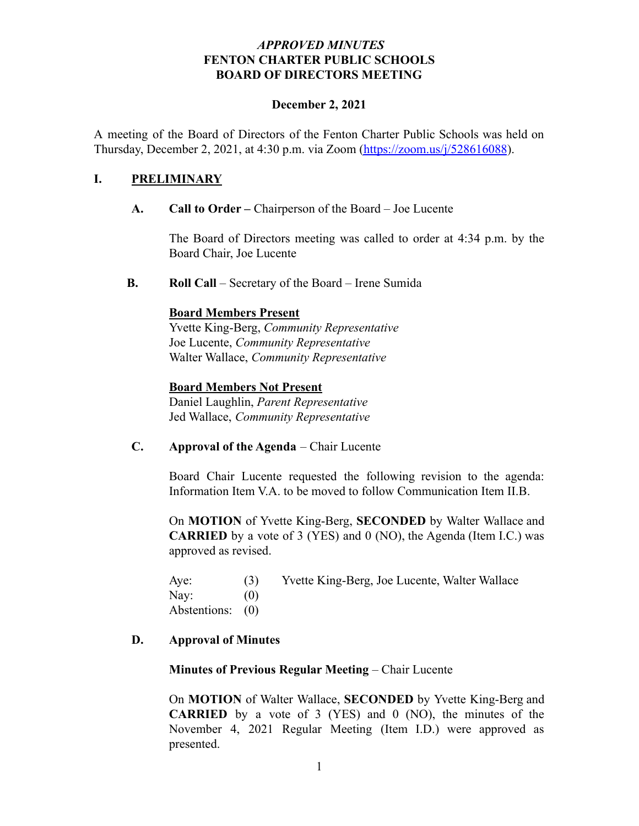# *APPROVED MINUTES* **FENTON CHARTER PUBLIC SCHOOLS BOARD OF DIRECTORS MEETING**

#### **December 2, 2021**

A meeting of the Board of Directors of the Fenton Charter Public Schools was held on Thursday, December 2, 2021, at 4:30 p.m. via Zoom [\(https://zoom.us/j/528616088](https://zoom.us/j/528616088)).

# **I. PRELIMINARY**

### **A. Call to Order –** Chairperson of the Board – Joe Lucente

The Board of Directors meeting was called to order at 4:34 p.m. by the Board Chair, Joe Lucente

**B. Roll Call** – Secretary of the Board – Irene Sumida

### **Board Members Present**

Yvette King-Berg, *Community Representative* Joe Lucente, *Community Representative* Walter Wallace, *Community Representative*

### **Board Members Not Present**

Daniel Laughlin, *Parent Representative* Jed Wallace, *Community Representative*

# **C. Approval of the Agenda** – Chair Lucente

Board Chair Lucente requested the following revision to the agenda: Information Item V.A. to be moved to follow Communication Item II.B.

On **MOTION** of Yvette King-Berg, **SECONDED** by Walter Wallace and **CARRIED** by a vote of 3 (YES) and 0 (NO), the Agenda (Item I.C.) was approved as revised.

| Aye:             | (3) | Yvette King-Berg, Joe Lucente, Walter Wallace |
|------------------|-----|-----------------------------------------------|
| Nay:             | (0) |                                               |
| Abstentions: (0) |     |                                               |

### **D. Approval of Minutes**

### **Minutes of Previous Regular Meeting** – Chair Lucente

On **MOTION** of Walter Wallace, **SECONDED** by Yvette King-Berg and **CARRIED** by a vote of 3 (YES) and 0 (NO), the minutes of the November 4, 2021 Regular Meeting (Item I.D.) were approved as presented.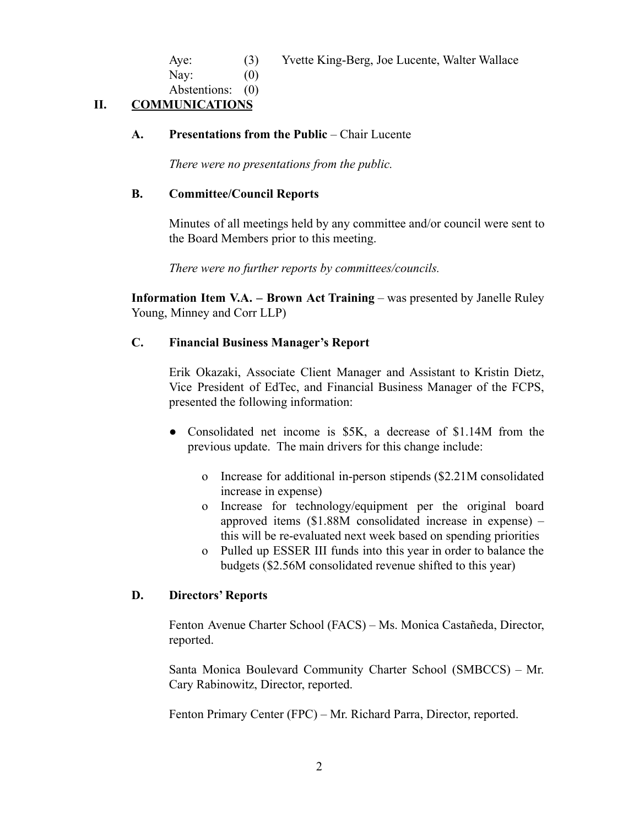Aye: (3) Yvette King-Berg, Joe Lucente, Walter Wallace

Nav:  $(0)$ 

Abstentions: (0)

# **II. COMMUNICATIONS**

# **A. Presentations from the Public** – Chair Lucente

*There were no presentations from the public.*

### **B. Committee/Council Reports**

Minutes of all meetings held by any committee and/or council were sent to the Board Members prior to this meeting.

*There were no further reports by committees/councils.*

**Information Item V.A. – Brown Act Training** – was presented by Janelle Ruley Young, Minney and Corr LLP)

# **C. Financial Business Manager's Report**

Erik Okazaki, Associate Client Manager and Assistant to Kristin Dietz, Vice President of EdTec, and Financial Business Manager of the FCPS, presented the following information:

- Consolidated net income is \$5K, a decrease of \$1.14M from the previous update. The main drivers for this change include:
	- o Increase for additional in-person stipends (\$2.21M consolidated increase in expense)
	- o Increase for technology/equipment per the original board approved items (\$1.88M consolidated increase in expense) – this will be re-evaluated next week based on spending priorities
	- o Pulled up ESSER III funds into this year in order to balance the budgets (\$2.56M consolidated revenue shifted to this year)

# **D. Directors' Reports**

Fenton Avenue Charter School (FACS) – Ms. Monica Castañeda, Director, reported.

Santa Monica Boulevard Community Charter School (SMBCCS) – Mr. Cary Rabinowitz, Director, reported.

Fenton Primary Center (FPC) – Mr. Richard Parra, Director, reported.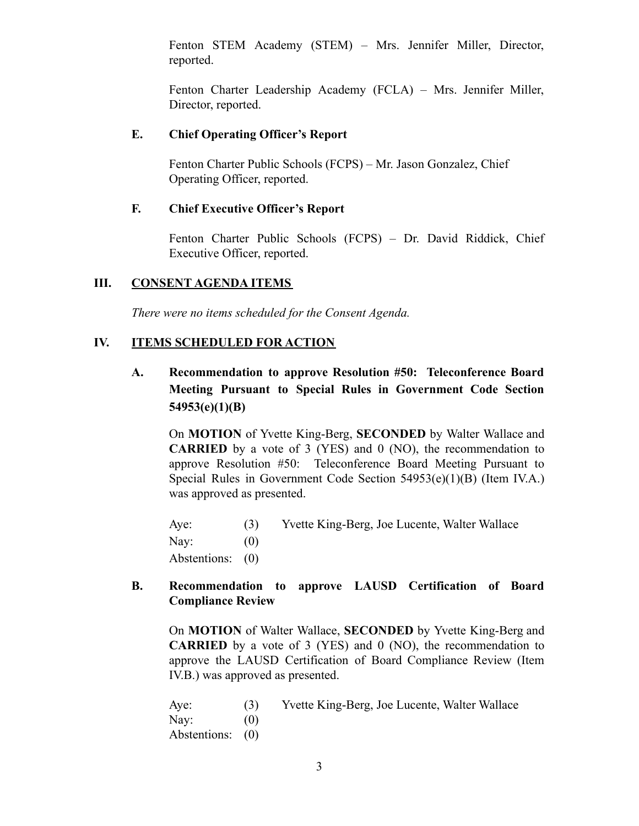Fenton STEM Academy (STEM) – Mrs. Jennifer Miller, Director, reported.

Fenton Charter Leadership Academy (FCLA) – Mrs. Jennifer Miller, Director, reported.

# **E. Chief Operating Officer's Report**

Fenton Charter Public Schools (FCPS) – Mr. Jason Gonzalez, Chief Operating Officer, reported.

# **F. Chief Executive Officer's Report**

Fenton Charter Public Schools (FCPS) – Dr. David Riddick, Chief Executive Officer, reported.

# **III. CONSENT AGENDA ITEMS**

*There were no items scheduled for the Consent Agenda.*

# **IV. ITEMS SCHEDULED FOR ACTION**

**A. Recommendation to approve Resolution #50: Teleconference Board Meeting Pursuant to Special Rules in Government Code Section 54953(e)(1)(B)**

On **MOTION** of Yvette King-Berg, **SECONDED** by Walter Wallace and **CARRIED** by a vote of 3 (YES) and 0 (NO), the recommendation to approve Resolution #50: Teleconference Board Meeting Pursuant to Special Rules in Government Code Section 54953(e)(1)(B) (Item IV.A.) was approved as presented.

Aye: (3) Yvette King-Berg, Joe Lucente, Walter Wallace Nay:  $(0)$ Abstentions: (0)

# **B. Recommendation to approve LAUSD Certification of Board Compliance Review**

On **MOTION** of Walter Wallace, **SECONDED** by Yvette King-Berg and **CARRIED** by a vote of 3 (YES) and 0 (NO), the recommendation to approve the LAUSD Certification of Board Compliance Review (Item IV.B.) was approved as presented.

Aye: (3) Yvette King-Berg, Joe Lucente, Walter Wallace Nav:  $(0)$ Abstentions: (0)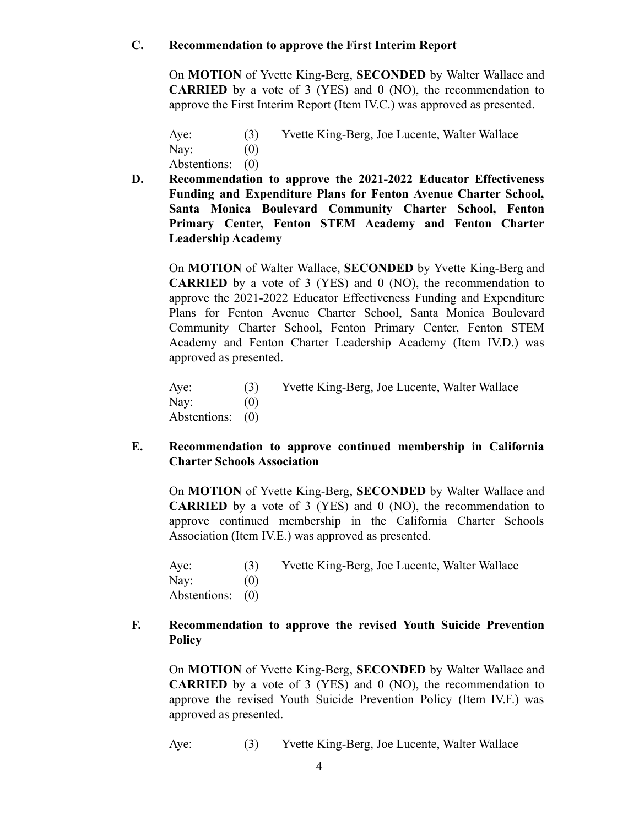# **C. Recommendation to approve the First Interim Report**

On **MOTION** of Yvette King-Berg, **SECONDED** by Walter Wallace and **CARRIED** by a vote of 3 (YES) and 0 (NO), the recommendation to approve the First Interim Report (Item IV.C.) was approved as presented.

Aye: (3) Yvette King-Berg, Joe Lucente, Walter Wallace Nay:  $(0)$ 

Abstentions: (0)

**D. Recommendation to approve the 2021-2022 Educator Effectiveness Funding and Expenditure Plans for Fenton Avenue Charter School, Santa Monica Boulevard Community Charter School, Fenton Primary Center, Fenton STEM Academy and Fenton Charter Leadership Academy**

On **MOTION** of Walter Wallace, **SECONDED** by Yvette King-Berg and **CARRIED** by a vote of 3 (YES) and 0 (NO), the recommendation to approve the 2021-2022 Educator Effectiveness Funding and Expenditure Plans for Fenton Avenue Charter School, Santa Monica Boulevard Community Charter School, Fenton Primary Center, Fenton STEM Academy and Fenton Charter Leadership Academy (Item IV.D.) was approved as presented.

Aye: (3) Yvette King-Berg, Joe Lucente, Walter Wallace Nay:  $(0)$ Abstentions: (0)

# **E. Recommendation to approve continued membership in California Charter Schools Association**

On **MOTION** of Yvette King-Berg, **SECONDED** by Walter Wallace and **CARRIED** by a vote of 3 (YES) and 0 (NO), the recommendation to approve continued membership in the California Charter Schools Association (Item IV.E.) was approved as presented.

| Aye:             | (3) | Yvette King-Berg, Joe Lucente, Walter Wallace |
|------------------|-----|-----------------------------------------------|
| Nay:             | (0) |                                               |
| Abstentions: (0) |     |                                               |

# **F. Recommendation to approve the revised Youth Suicide Prevention Policy**

On **MOTION** of Yvette King-Berg, **SECONDED** by Walter Wallace and **CARRIED** by a vote of 3 (YES) and 0 (NO), the recommendation to approve the revised Youth Suicide Prevention Policy (Item IV.F.) was approved as presented.

Aye: (3) Yvette King-Berg, Joe Lucente, Walter Wallace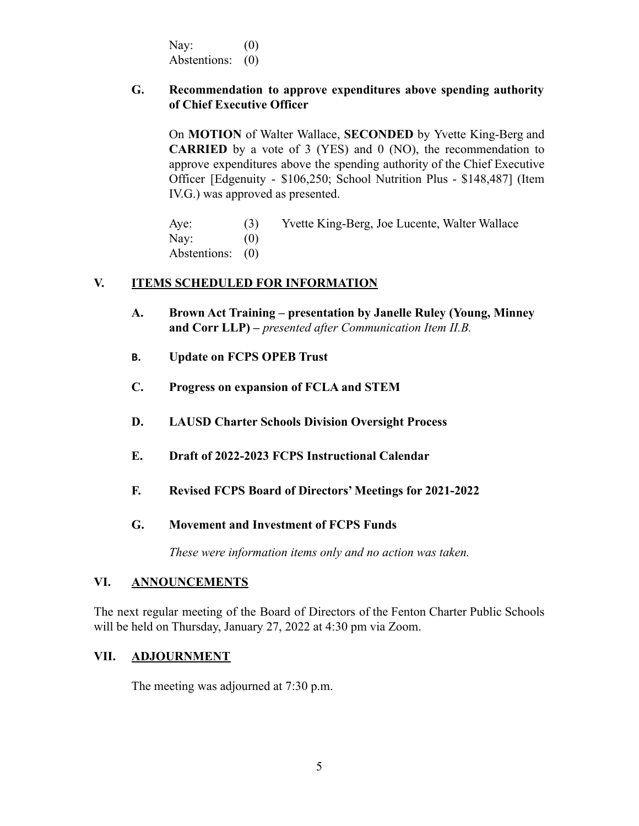Nay:  $(0)$ Abstentions: (0)

### **G. Recommendation to approve expenditures above spending authority of Chief Executive Officer**

On **MOTION** of Walter Wallace, **SECONDED** by Yvette King-Berg and **CARRIED** by a vote of 3 (YES) and 0 (NO), the recommendation to approve expenditures above the spending authority of the Chief Executive Officer [Edgenuity - \$106,250; School Nutrition Plus - \$148,487] (Item IV.G.) was approved as presented.

Aye: (3) Yvette King-Berg, Joe Lucente, Walter Wallace Nav:  $(0)$ Abstentions: (0)

### **V. ITEMS SCHEDULED FOR INFORMATION**

- **A. Brown Act Training presentation by Janelle Ruley (Young, Minney and Corr LLP) –** *presented after Communication Item II.B.*
- **B. Update on FCPS OPEB Trust**
- **C. Progress on expansion of FCLA and STEM**
- **D. LAUSD Charter Schools Division Oversight Process**
- **E. Draft of 2022-2023 FCPS Instructional Calendar**
- **F. Revised FCPS Board of Directors' Meetings for 2021-2022**
- **G. Movement and Investment of FCPS Funds**

*These were information items only and no action was taken.*

### **VI. ANNOUNCEMENTS**

The next regular meeting of the Board of Directors of the Fenton Charter Public Schools will be held on Thursday, January 27, 2022 at 4:30 pm via Zoom.

### **VII. ADJOURNMENT**

The meeting was adjourned at 7:30 p.m.